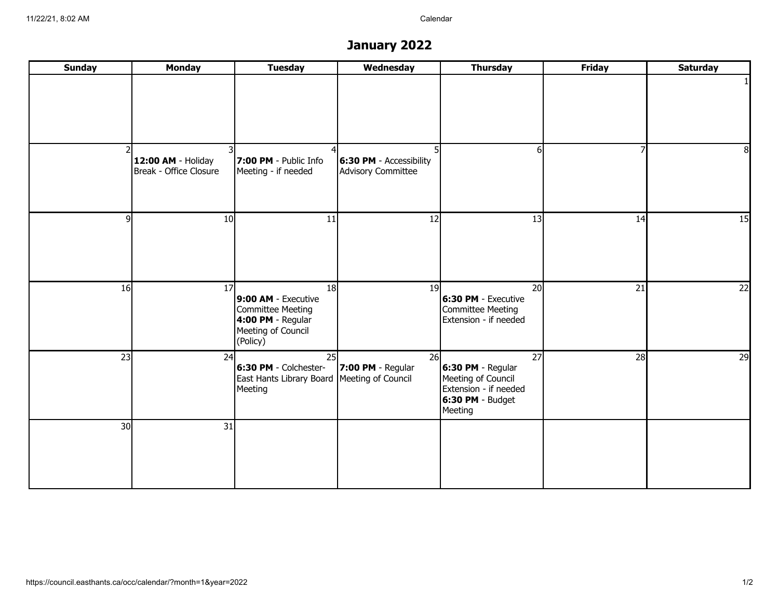## **January 2022**

| <b>Sunday</b>   | <b>Monday</b>                                | <b>Tuesday</b>                                                                                        | Wednesday                                     | <b>Thursday</b>                                                                                         | <b>Friday</b> | <b>Saturday</b> |
|-----------------|----------------------------------------------|-------------------------------------------------------------------------------------------------------|-----------------------------------------------|---------------------------------------------------------------------------------------------------------|---------------|-----------------|
|                 |                                              |                                                                                                       |                                               |                                                                                                         |               |                 |
|                 | 12:00 AM - Holiday<br>Break - Office Closure | 7:00 PM - Public Info<br>Meeting - if needed                                                          | 6:30 PM - Accessibility<br>Advisory Committee |                                                                                                         | 7             | 8               |
| 9l              | 10 <sup>1</sup>                              | 11                                                                                                    | 12                                            | 13                                                                                                      | 14            | 15              |
| 16              | 17                                           | 18<br>9:00 AM - Executive<br>Committee Meeting<br>4:00 PM - Regular<br>Meeting of Council<br>(Policy) | 19 <sup>°</sup>                               | 20<br>6:30 PM - Executive<br>Committee Meeting<br>Extension - if needed                                 | 21            | 22              |
| 23              | 24                                           | 25<br>6:30 PM - Colchester-<br>East Hants Library Board Meeting of Council<br>Meeting                 | 26<br>$ 7:00$ PM - Regular                    | 27<br>6:30 PM - Regular<br>Meeting of Council<br>Extension - if needed<br>$6:30$ PM - Budget<br>Meeting | 28            | 29              |
| 30 <sup>1</sup> | $\overline{31}$                              |                                                                                                       |                                               |                                                                                                         |               |                 |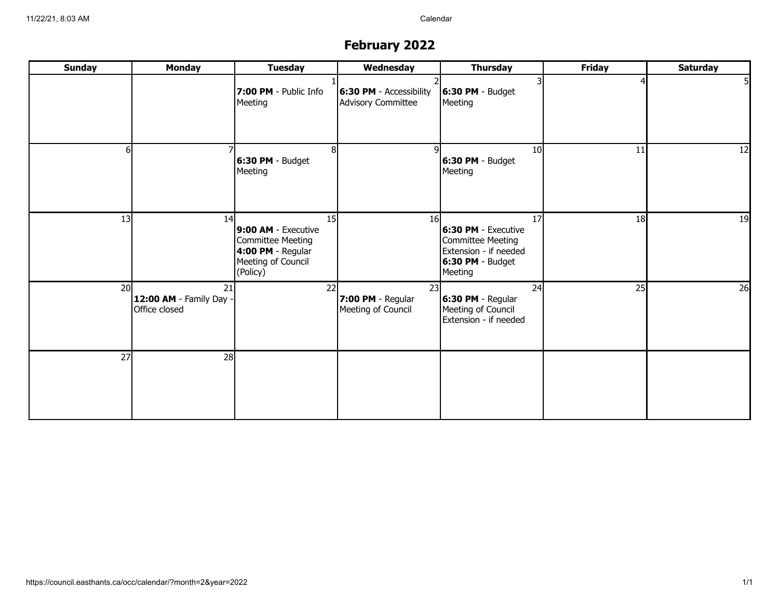# **February 2022**

| <b>Sunday</b>   | <b>Monday</b>                                  | <b>Tuesday</b>                                                                                        | Wednesday                                     | <b>Thursday</b>                                                                                          | <b>Friday</b> | <b>Saturday</b> |
|-----------------|------------------------------------------------|-------------------------------------------------------------------------------------------------------|-----------------------------------------------|----------------------------------------------------------------------------------------------------------|---------------|-----------------|
|                 |                                                | 7:00 PM - Public Info<br>Meeting                                                                      | 6:30 PM - Accessibility<br>Advisory Committee | $6:30$ PM - Budget<br>Meeting                                                                            |               |                 |
| 6               |                                                | 8<br>6:30 PM - Budget<br>Meeting                                                                      | q                                             | 10 <sup>1</sup><br>$ 6:30$ PM - Budget<br>Meeting                                                        | 11            | 12              |
| 13              | 14                                             | 15<br>9:00 AM - Executive<br>Committee Meeting<br>4:00 PM - Regular<br>Meeting of Council<br>(Policy) | 16 <sup>l</sup>                               | 17<br>6:30 PM - Executive<br>Committee Meeting<br>Extension - if needed<br>$6:30$ PM - Budget<br>Meeting | 18            | 19              |
| 20 <sup>1</sup> | 21<br>12:00 AM - Family Day -<br>Office closed | 22                                                                                                    | 23<br>7:00 PM - Regular<br>Meeting of Council | 24<br>$6:30$ PM - Regular<br>Meeting of Council<br>Extension - if needed                                 | 25            | 26              |
| 27              | 28                                             |                                                                                                       |                                               |                                                                                                          |               |                 |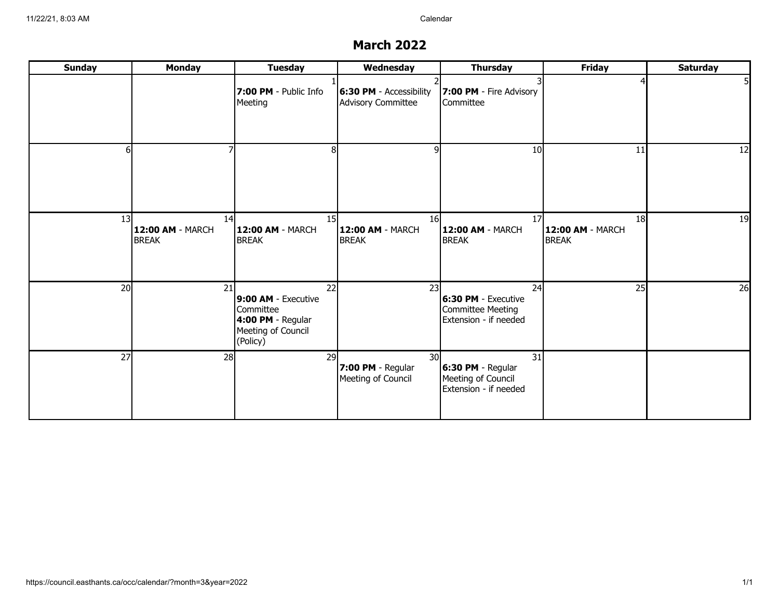#### **March 2022**

| <b>Sunday</b> | <b>Monday</b>                   | <b>Tuesday</b>                                                                                | Wednesday                                                  | <b>Thursday</b>                                                                | <b>Friday</b>                          | <b>Saturday</b> |
|---------------|---------------------------------|-----------------------------------------------------------------------------------------------|------------------------------------------------------------|--------------------------------------------------------------------------------|----------------------------------------|-----------------|
|               |                                 | 7:00 PM - Public Info<br>Meeting                                                              | 6:30 PM - Accessibility<br>Advisory Committee              | 7:00 PM - Fire Advisory<br>Committee                                           |                                        |                 |
| հ             |                                 |                                                                                               | 9l                                                         | 10                                                                             | 11                                     | 12              |
| 13            | 14<br>12:00 AM - MARCH<br>BREAK | 15 <sup>1</sup><br>12:00 AM - MARCH<br><b>BREAK</b>                                           | 16I<br>12:00 AM - MARCH<br>BREAK                           | 17<br>12:00 AM - MARCH<br><b>BREAK</b>                                         | 18<br>12:00 AM - MARCH<br><b>BREAK</b> | 19              |
| 20            | 21                              | 22<br>9:00 AM - Executive<br>Committee<br>4:00 PM - Regular<br>Meeting of Council<br>(Policy) | 23                                                         | 24<br>6:30 PM - Executive<br><b>Committee Meeting</b><br>Extension - if needed | 25                                     | 26              |
| 27            | 28                              | 29                                                                                            | 30 <sup>l</sup><br>7:00 PM - Regular<br>Meeting of Council | 31<br>6:30 PM - Regular<br>Meeting of Council<br>Extension - if needed         |                                        |                 |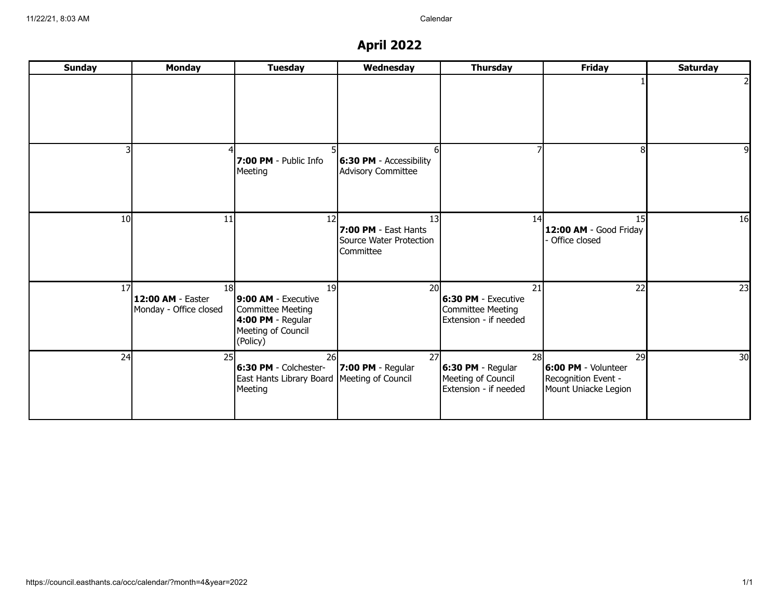## **April 2022**

| <b>Sunday</b>   | <b>Monday</b>                                                  | <b>Tuesday</b>                                                                                        | Wednesday                                                                              | <b>Thursday</b>                                                                | <b>Friday</b>                                                            | <b>Saturday</b> |
|-----------------|----------------------------------------------------------------|-------------------------------------------------------------------------------------------------------|----------------------------------------------------------------------------------------|--------------------------------------------------------------------------------|--------------------------------------------------------------------------|-----------------|
|                 |                                                                |                                                                                                       |                                                                                        |                                                                                |                                                                          |                 |
|                 |                                                                | 7:00 PM - Public Info<br>Meeting                                                                      | 61<br>$ 6:30$ PM - Accessibility<br>Advisory Committee                                 |                                                                                | 81                                                                       | q               |
| 10 <sup>1</sup> | 11                                                             | 12                                                                                                    | 13 <sup>1</sup><br><b>7:00 PM</b> - East Hants<br>Source Water Protection<br>Committee | 14                                                                             | 15 <sup>1</sup><br>12:00 AM - Good Friday<br>Office closed               | 16              |
| 17 <sup>1</sup> | 18 <sup>l</sup><br>12:00 AM - Easter<br>Monday - Office closed | 19<br>9:00 AM - Executive<br>Committee Meeting<br>4:00 PM - Regular<br>Meeting of Council<br>(Policy) | 20I                                                                                    | 21<br>6:30 PM - Executive<br><b>Committee Meeting</b><br>Extension - if needed | 22                                                                       | 23              |
| 24              | 25                                                             | 26<br>6:30 PM - Colchester-<br>East Hants Library Board Meeting of Council<br>Meeting                 | 27<br>$ 7:00$ PM - Regular                                                             | 28<br>6:30 PM - Regular<br>Meeting of Council<br>Extension - if needed         | 29<br>6:00 PM - Volunteer<br>Recognition Event -<br>Mount Uniacke Legion | 30 <sup>1</sup> |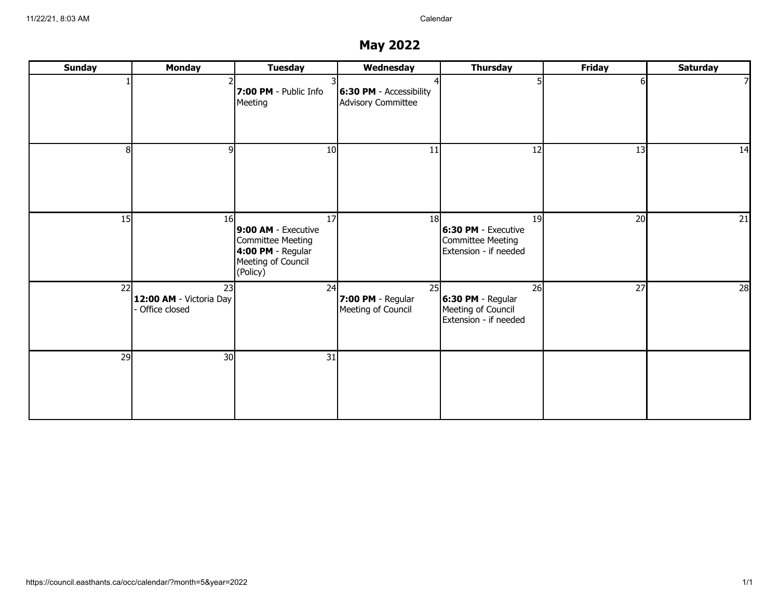## **May 2022**

| <b>Sunday</b> | <b>Monday</b>                                    | <b>Tuesday</b>                                                                                        | Wednesday                                        | <b>Thursday</b>                                                          | <b>Friday</b> | <b>Saturday</b> |
|---------------|--------------------------------------------------|-------------------------------------------------------------------------------------------------------|--------------------------------------------------|--------------------------------------------------------------------------|---------------|-----------------|
|               |                                                  | 7:00 PM - Public Info<br>Meeting                                                                      | $ 6:30$ PM - Accessibility<br>Advisory Committee |                                                                          | ы             |                 |
| 8l            | a                                                | 10                                                                                                    | 11                                               | 12                                                                       | 13            | 14              |
| 15            | 16                                               | 17<br>9:00 AM - Executive<br>Committee Meeting<br>4:00 PM - Regular<br>Meeting of Council<br>(Policy) | 18 <sup>l</sup>                                  | 19<br>6:30 PM - Executive<br>Committee Meeting<br>Extension - if needed  | 20            | 21              |
| 22            | 23<br>12:00 AM - Victoria Day<br>- Office closed | 24                                                                                                    | 25<br>7:00 PM - Regular<br>Meeting of Council    | 26<br>$6:30 PM - Regular$<br>Meeting of Council<br>Extension - if needed | 27            | 28              |
| 29            | 30 <sup>l</sup>                                  | 31                                                                                                    |                                                  |                                                                          |               |                 |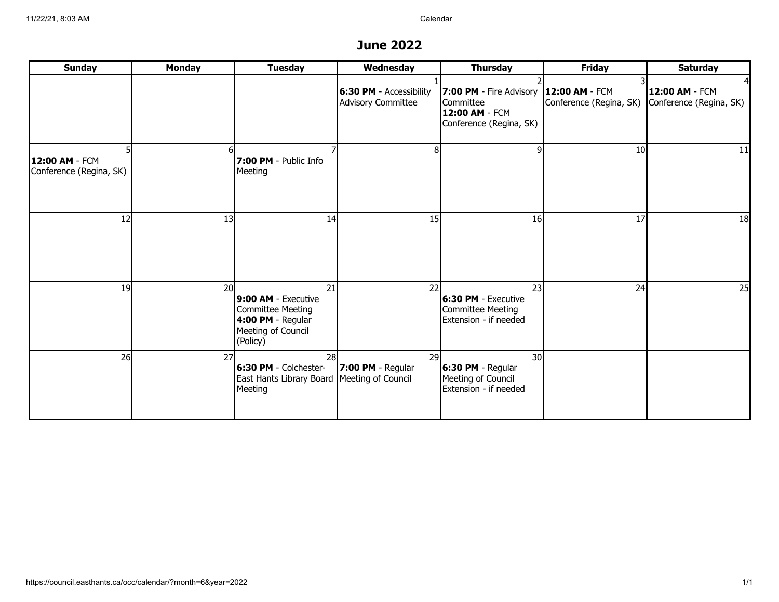#### **June 2022**

| <b>Sunday</b>                             | <b>Monday</b>   | <b>Tuesday</b>                                                                                          | Wednesday                                     | <b>Thursday</b>                                                                       | <b>Friday</b>                             | <b>Saturday</b>                           |
|-------------------------------------------|-----------------|---------------------------------------------------------------------------------------------------------|-----------------------------------------------|---------------------------------------------------------------------------------------|-------------------------------------------|-------------------------------------------|
|                                           |                 |                                                                                                         | 6:30 PM - Accessibility<br>Advisory Committee | 7:00 PM - Fire Advisory<br>Committee<br>12:00 AM - FCM<br>Conference (Regina, SK)     | 12:00 AM - FCM<br>Conference (Regina, SK) | 12:00 AM - FCM<br>Conference (Regina, SK) |
| 12:00 AM - FCM<br>Conference (Regina, SK) |                 | 7:00 PM - Public Info<br>Meeting                                                                        | 81                                            |                                                                                       | 10 <sup>1</sup>                           | 11                                        |
| 12                                        | 13              | 14                                                                                                      | 15                                            | 16                                                                                    | 17                                        | 18                                        |
| 19                                        | 20 <sup>1</sup> | 21<br>9:00 AM - Executive<br>Committee Meeting<br>$4:00$ PM - Regular<br>Meeting of Council<br>(Policy) | 22                                            | 23<br>6:30 PM - Executive<br>Committee Meeting<br>Extension - if needed               | 24                                        | 25                                        |
| 26                                        | 27              | <b>28</b><br>6:30 PM - Colchester-<br>East Hants Library Board Meeting of Council<br>Meeting            | <b>29I</b><br>$ 7:00$ PM - Regular            | 30 <sup>l</sup><br>$6:30$ PM - Regular<br>Meeting of Council<br>Extension - if needed |                                           |                                           |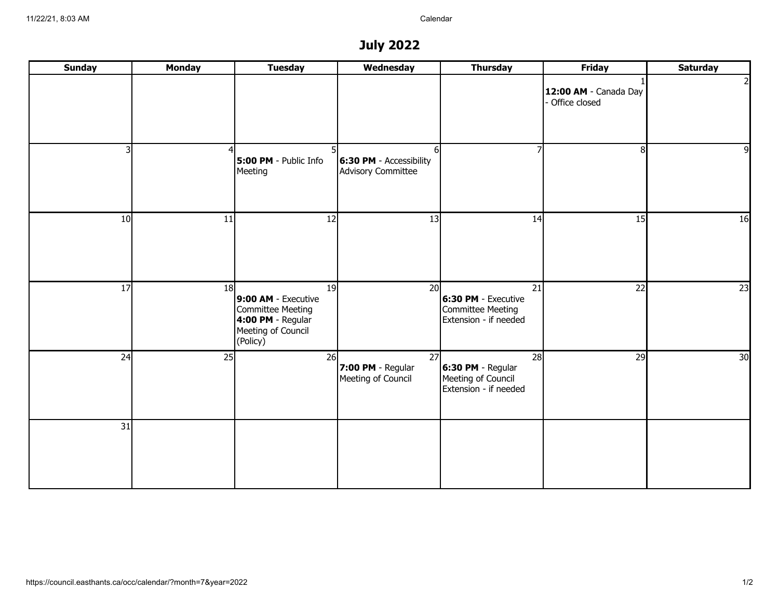## **July 2022**

| <b>Sunday</b> | <b>Monday</b> | <b>Tuesday</b>                                                                                          | Wednesday                                                  | <b>Thursday</b>                                                                      | <b>Friday</b>                          | <b>Saturday</b> |
|---------------|---------------|---------------------------------------------------------------------------------------------------------|------------------------------------------------------------|--------------------------------------------------------------------------------------|----------------------------------------|-----------------|
|               |               |                                                                                                         |                                                            |                                                                                      | 12:00 AM - Canada Day<br>Office closed | $\overline{2}$  |
| 3             |               | 5:00 PM - Public Info<br>Meeting                                                                        | 61<br><b>6:30 PM</b> - Accessibility<br>Advisory Committee |                                                                                      | 8                                      | 9               |
| 10            | 11            | 12                                                                                                      | 13                                                         | 14                                                                                   | 15                                     | 16              |
| 17            | 18            | 19<br>9:00 AM - Executive<br>Committee Meeting<br>$4:00$ PM - Regular<br>Meeting of Council<br>(Policy) | 20                                                         | $\overline{21}$<br>6:30 PM - Executive<br>Committee Meeting<br>Extension - if needed | 22                                     | 23              |
| 24            | 25            | 26                                                                                                      | 27<br>7:00 PM - Regular<br>Meeting of Council              | 28<br>6:30 PM - Regular<br>Meeting of Council<br>Extension - if needed               | 29                                     | 30              |
| 31            |               |                                                                                                         |                                                            |                                                                                      |                                        |                 |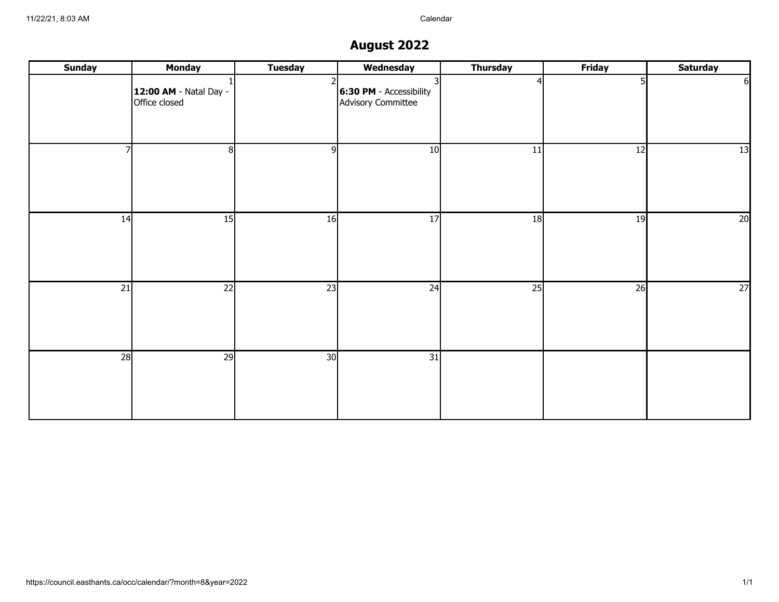## **August 2022**

| <b>Sunday</b> | <b>Monday</b>                           | <b>Tuesday</b> | Wednesday                                        | <b>Thursday</b> | <b>Friday</b> | <b>Saturday</b> |
|---------------|-----------------------------------------|----------------|--------------------------------------------------|-----------------|---------------|-----------------|
|               | 12:00 AM - Natal Day -<br>Office closed |                | $ 6:30$ PM - Accessibility<br>Advisory Committee |                 |               | $6 \mid$        |
|               | 81                                      | -9l            | 10                                               | 11              | 12            | 13              |
| 14            | 15                                      | 16             | 17                                               | 18              | 19            | 20              |
| 21            | 22                                      | 23             | 24                                               | 25              | 26            | 27              |
| 28            | 29                                      | 30             | 31                                               |                 |               |                 |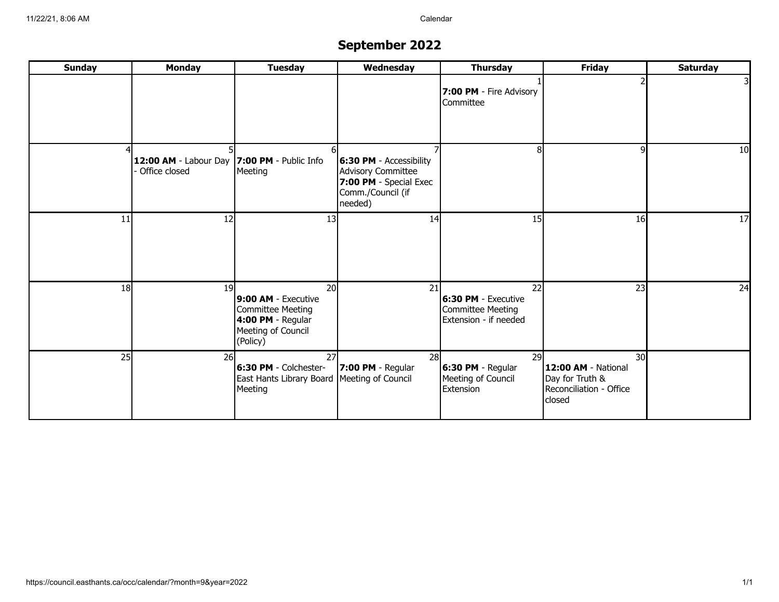# **September 2022**

| <b>Sunday</b> | <b>Monday</b>                                                | <b>Tuesday</b>                                                                                                     | Wednesday                                                                                                  | <b>Thursday</b>                                                                | <b>Friday</b>                                                                                  | <b>Saturday</b> |
|---------------|--------------------------------------------------------------|--------------------------------------------------------------------------------------------------------------------|------------------------------------------------------------------------------------------------------------|--------------------------------------------------------------------------------|------------------------------------------------------------------------------------------------|-----------------|
|               |                                                              |                                                                                                                    |                                                                                                            | 7:00 PM - Fire Advisory<br>Committee                                           |                                                                                                |                 |
|               | 12:00 AM - Labour Day 7:00 PM - Public Info<br>Office closed | Meeting                                                                                                            | $ 6:30$ PM - Accessibility<br>Advisory Committee<br>7:00 PM - Special Exec<br>Comm./Council (if<br>needed) | 8                                                                              | 91                                                                                             | 10 <sup>1</sup> |
| 11            | 12                                                           | 13                                                                                                                 | 14                                                                                                         | 15                                                                             | 16                                                                                             | 17              |
| 18            | 19                                                           | 20 <sup>1</sup><br>9:00 AM - Executive<br>Committee Meeting<br>4:00 PM - Regular<br>Meeting of Council<br>(Policy) | 21                                                                                                         | 22<br>6:30 PM - Executive<br><b>Committee Meeting</b><br>Extension - if needed | 23                                                                                             | 24              |
| 25            | 26                                                           | 27<br>6:30 PM - Colchester-<br>East Hants Library Board Meeting of Council<br>Meeting                              | 28<br>$ 7:00$ PM - Regular                                                                                 | 29<br>6:30 PM - Regular<br>Meeting of Council<br>Extension                     | 30 <sup>l</sup><br>12:00 AM - National<br>Day for Truth &<br>Reconciliation - Office<br>closed |                 |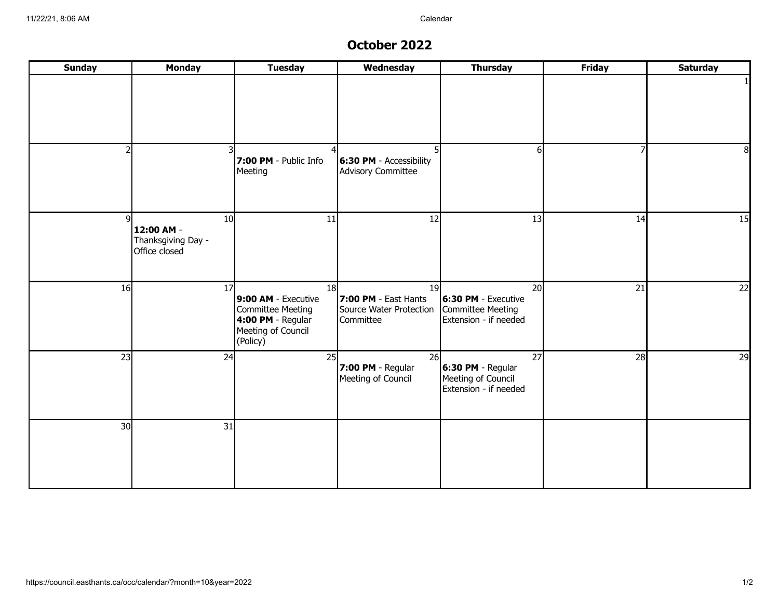#### **October 2022**

| <b>Sunday</b> | <b>Monday</b>                                                        | <b>Tuesday</b>                                                                                          | Wednesday                                                          | <b>Thursday</b>                                                         | <b>Friday</b> | <b>Saturday</b> |
|---------------|----------------------------------------------------------------------|---------------------------------------------------------------------------------------------------------|--------------------------------------------------------------------|-------------------------------------------------------------------------|---------------|-----------------|
|               |                                                                      |                                                                                                         |                                                                    |                                                                         |               |                 |
|               |                                                                      | 7:00 PM - Public Info<br>Meeting                                                                        | 6:30 PM - Accessibility<br>Advisory Committee                      | 6                                                                       | 7             | 8               |
|               | 10 <sup>1</sup><br>12:00 AM -<br>Thanksgiving Day -<br>Office closed | 11                                                                                                      | 12                                                                 | 13                                                                      | 14            | 15              |
| 16            | 17                                                                   | 18<br>9:00 AM - Executive<br>Committee Meeting<br>$4:00$ PM - Regular<br>Meeting of Council<br>(Policy) | 19<br>7:00 PM - East Hants<br>Source Water Protection<br>Committee | 20<br>6:30 PM - Executive<br>Committee Meeting<br>Extension - if needed | 21            | 22              |
| 23            | 24                                                                   | 25                                                                                                      | 26<br>7:00 PM - Regular<br>Meeting of Council                      | 27<br>6:30 PM - Regular<br>Meeting of Council<br>Extension - if needed  | 28            | 29              |
| 30            | $\overline{31}$                                                      |                                                                                                         |                                                                    |                                                                         |               |                 |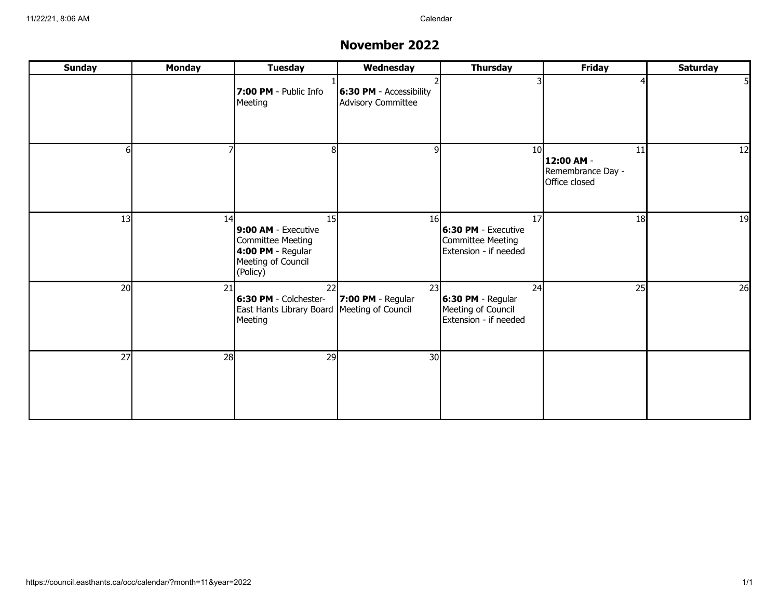#### **November 2022**

| <b>Sunday</b>   | <b>Monday</b> | <b>Tuesday</b>                                                                                        | Wednesday                                     | <b>Thursday</b>                                                         | <b>Friday</b>                                          | <b>Saturday</b> |
|-----------------|---------------|-------------------------------------------------------------------------------------------------------|-----------------------------------------------|-------------------------------------------------------------------------|--------------------------------------------------------|-----------------|
|                 |               | 7:00 PM - Public Info<br>Meeting                                                                      | 6:30 PM - Accessibility<br>Advisory Committee |                                                                         |                                                        |                 |
| 61              |               |                                                                                                       | 9                                             | 10 <sup>1</sup>                                                         | 11<br>12:00 AM -<br>Remembrance Day -<br>Office closed | 12              |
| 13              | 14            | 15<br>9:00 AM - Executive<br>Committee Meeting<br>4:00 PM - Regular<br>Meeting of Council<br>(Policy) | 16 <sup>l</sup>                               | 17<br>6:30 PM - Executive<br>Committee Meeting<br>Extension - if needed | 18                                                     | 19              |
| 20 <sup>1</sup> | 21            | 22<br>6:30 PM - Colchester-<br>East Hants Library Board Meeting of Council<br>Meeting                 | 23<br>$ 7:00$ PM - Regular                    | 24<br>6:30 PM - Regular<br>Meeting of Council<br>Extension - if needed  | 25                                                     | 26              |
| 27              | 28            | 29                                                                                                    | 30 <sup>1</sup>                               |                                                                         |                                                        |                 |